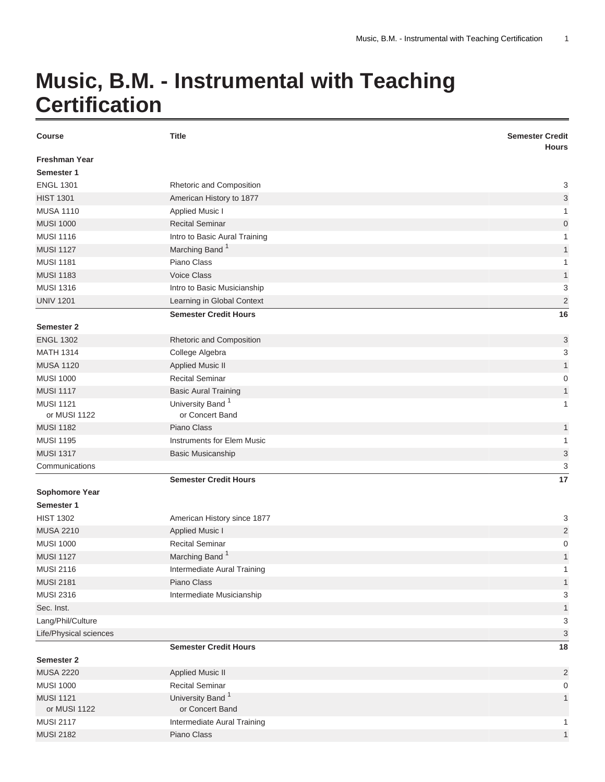## **Music, B.M. - Instrumental with Teaching Certification**

| <b>Course</b>                      | <b>Title</b>                  | <b>Semester Credit</b><br><b>Hours</b> |
|------------------------------------|-------------------------------|----------------------------------------|
| <b>Freshman Year</b><br>Semester 1 |                               |                                        |
| <b>ENGL 1301</b>                   | Rhetoric and Composition      | 3                                      |
| <b>HIST 1301</b>                   | American History to 1877      | 3                                      |
| <b>MUSA 1110</b>                   | <b>Applied Music I</b>        | $\mathbf{1}$                           |
| <b>MUSI 1000</b>                   | <b>Recital Seminar</b>        | 0                                      |
| <b>MUSI 1116</b>                   | Intro to Basic Aural Training | 1                                      |
| <b>MUSI 1127</b>                   | Marching Band <sup>1</sup>    | 1                                      |
| <b>MUSI 1181</b>                   | Piano Class                   | 1                                      |
| <b>MUSI 1183</b>                   | <b>Voice Class</b>            | $\mathbf{1}$                           |
| <b>MUSI 1316</b>                   | Intro to Basic Musicianship   | 3                                      |
| <b>UNIV 1201</b>                   | Learning in Global Context    | $\sqrt{2}$                             |
|                                    | <b>Semester Credit Hours</b>  | 16                                     |
| <b>Semester 2</b>                  |                               |                                        |
| <b>ENGL 1302</b>                   | Rhetoric and Composition      | 3                                      |
| <b>MATH 1314</b>                   | College Algebra               | 3                                      |
| <b>MUSA 1120</b>                   | <b>Applied Music II</b>       | $\mathbf{1}$                           |
| <b>MUSI 1000</b>                   | <b>Recital Seminar</b>        | 0                                      |
| <b>MUSI 1117</b>                   | <b>Basic Aural Training</b>   | 1                                      |
| <b>MUSI 1121</b>                   | University Band <sup>1</sup>  | 1                                      |
| or MUSI 1122                       | or Concert Band               |                                        |
| <b>MUSI 1182</b>                   | Piano Class                   | 1                                      |
| <b>MUSI 1195</b>                   | Instruments for Elem Music    | 1                                      |
| <b>MUSI 1317</b>                   | <b>Basic Musicanship</b>      | 3                                      |
| Communications                     |                               | 3                                      |
|                                    | <b>Semester Credit Hours</b>  | 17                                     |
| <b>Sophomore Year</b>              |                               |                                        |
| Semester 1                         |                               |                                        |
| <b>HIST 1302</b>                   | American History since 1877   | 3                                      |
| <b>MUSA 2210</b>                   | <b>Applied Music I</b>        | $\overline{\mathbf{c}}$                |
| <b>MUSI 1000</b>                   | <b>Recital Seminar</b>        | 0                                      |
| <b>MUSI 1127</b>                   | Marching Band <sup>1</sup>    | 1                                      |
| <b>MUSI 2116</b>                   | Intermediate Aural Training   |                                        |
| <b>MUSI 2181</b>                   | Piano Class                   | 1                                      |
| <b>MUSI 2316</b>                   | Intermediate Musicianship     | 3                                      |
| Sec. Inst.                         |                               | $\mathbf{1}$                           |
| Lang/Phil/Culture                  |                               | 3                                      |
| Life/Physical sciences             |                               | 3                                      |
|                                    | <b>Semester Credit Hours</b>  | 18                                     |
| <b>Semester 2</b>                  |                               |                                        |
| <b>MUSA 2220</b>                   | <b>Applied Music II</b>       | $\overline{c}$                         |
| <b>MUSI 1000</b>                   | <b>Recital Seminar</b>        | 0                                      |
| <b>MUSI 1121</b>                   | University Band <sup>1</sup>  | $\mathbf{1}$                           |
| or MUSI 1122                       | or Concert Band               |                                        |
| <b>MUSI 2117</b>                   | Intermediate Aural Training   | 1                                      |
| <b>MUSI 2182</b>                   | Piano Class                   | $\mathbf{1}$                           |